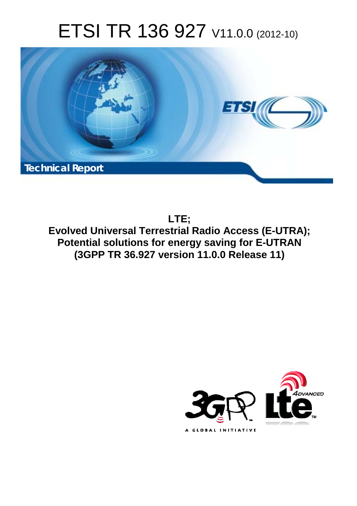# ETSI TR 136 927 V11.0.0 (2012-10)



**LTE; Evolved Universal Terrestrial Radio Access (E-UTRA); Potential solutions for energy saving for E-UTRAN (3GPP TR 36.927 version 11.0.0 Release 11)** 

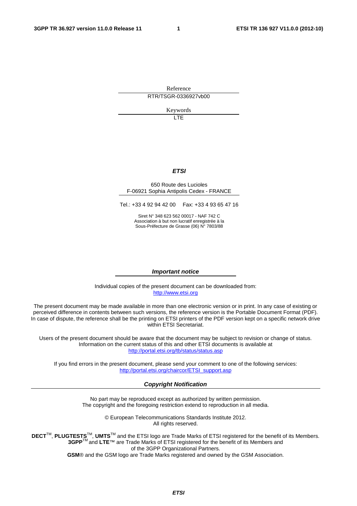Reference RTR/TSGR-0336927vb00

Keywords

LTE

#### *ETSI*

#### 650 Route des Lucioles F-06921 Sophia Antipolis Cedex - FRANCE

Tel.: +33 4 92 94 42 00 Fax: +33 4 93 65 47 16

Siret N° 348 623 562 00017 - NAF 742 C Association à but non lucratif enregistrée à la Sous-Préfecture de Grasse (06) N° 7803/88

#### *Important notice*

Individual copies of the present document can be downloaded from: [http://www.etsi.org](http://www.etsi.org/)

The present document may be made available in more than one electronic version or in print. In any case of existing or perceived difference in contents between such versions, the reference version is the Portable Document Format (PDF). In case of dispute, the reference shall be the printing on ETSI printers of the PDF version kept on a specific network drive within ETSI Secretariat.

Users of the present document should be aware that the document may be subject to revision or change of status. Information on the current status of this and other ETSI documents is available at <http://portal.etsi.org/tb/status/status.asp>

If you find errors in the present document, please send your comment to one of the following services: [http://portal.etsi.org/chaircor/ETSI\\_support.asp](http://portal.etsi.org/chaircor/ETSI_support.asp)

#### *Copyright Notification*

No part may be reproduced except as authorized by written permission. The copyright and the foregoing restriction extend to reproduction in all media.

> © European Telecommunications Standards Institute 2012. All rights reserved.

DECT<sup>™</sup>, PLUGTESTS<sup>™</sup>, UMTS<sup>™</sup> and the ETSI logo are Trade Marks of ETSI registered for the benefit of its Members. **3GPP**TM and **LTE**™ are Trade Marks of ETSI registered for the benefit of its Members and of the 3GPP Organizational Partners.

**GSM**® and the GSM logo are Trade Marks registered and owned by the GSM Association.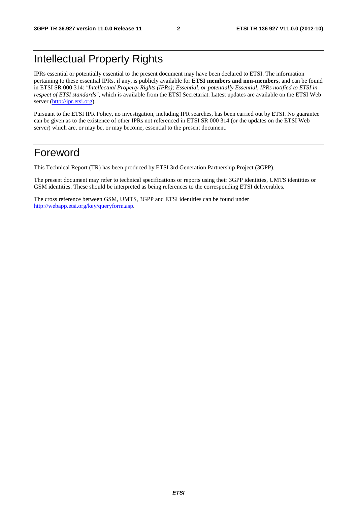## Intellectual Property Rights

IPRs essential or potentially essential to the present document may have been declared to ETSI. The information pertaining to these essential IPRs, if any, is publicly available for **ETSI members and non-members**, and can be found in ETSI SR 000 314: *"Intellectual Property Rights (IPRs); Essential, or potentially Essential, IPRs notified to ETSI in respect of ETSI standards"*, which is available from the ETSI Secretariat. Latest updates are available on the ETSI Web server [\(http://ipr.etsi.org](http://webapp.etsi.org/IPR/home.asp)).

Pursuant to the ETSI IPR Policy, no investigation, including IPR searches, has been carried out by ETSI. No guarantee can be given as to the existence of other IPRs not referenced in ETSI SR 000 314 (or the updates on the ETSI Web server) which are, or may be, or may become, essential to the present document.

## Foreword

This Technical Report (TR) has been produced by ETSI 3rd Generation Partnership Project (3GPP).

The present document may refer to technical specifications or reports using their 3GPP identities, UMTS identities or GSM identities. These should be interpreted as being references to the corresponding ETSI deliverables.

The cross reference between GSM, UMTS, 3GPP and ETSI identities can be found under [http://webapp.etsi.org/key/queryform.asp.](http://webapp.etsi.org/key/queryform.asp)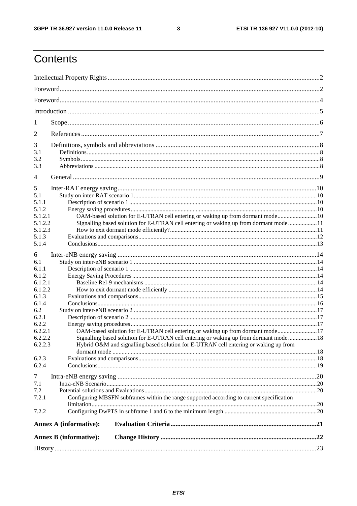$\mathbf{3}$ 

## Contents

| 1                |                                                                                           |  |
|------------------|-------------------------------------------------------------------------------------------|--|
| 2                |                                                                                           |  |
| 3                |                                                                                           |  |
| 3.1              |                                                                                           |  |
| 3.2              |                                                                                           |  |
| 3.3              |                                                                                           |  |
| 4                |                                                                                           |  |
| 5                |                                                                                           |  |
| 5.1              |                                                                                           |  |
| 5.1.1            |                                                                                           |  |
| 5.1.2            |                                                                                           |  |
| 5.1.2.1          | OAM-based solution for E-UTRAN cell entering or waking up from dormant mode 10            |  |
| 5.1.2.2          | Signalling based solution for E-UTRAN cell entering or waking up from dormant mode11      |  |
| 5.1.2.3          |                                                                                           |  |
| 5.1.3<br>5.1.4   |                                                                                           |  |
|                  |                                                                                           |  |
| 6                |                                                                                           |  |
| 6.1              |                                                                                           |  |
| 6.1.1            |                                                                                           |  |
| 6.1.2<br>6.1.2.1 |                                                                                           |  |
| 6.1.2.2          |                                                                                           |  |
| 6.1.3            |                                                                                           |  |
| 6.1.4            |                                                                                           |  |
| 6.2              |                                                                                           |  |
| 6.2.1            |                                                                                           |  |
| 6.2.2            |                                                                                           |  |
| 6.2.2.1          | OAM-based solution for E-UTRAN cell entering or waking up from dormant mode 17            |  |
| 6.2.2.2          | Signalling based solution for E-UTRAN cell entering or waking up from dormant mode 18     |  |
| 6.2.2.3          | Hybrid O&M and signalling based solution for E-UTRAN cell entering or waking up from      |  |
|                  |                                                                                           |  |
| 6.2.3<br>6.2.4   |                                                                                           |  |
|                  |                                                                                           |  |
| 7                |                                                                                           |  |
| 7.1              |                                                                                           |  |
| 7.2              |                                                                                           |  |
| 7.2.1            | Configuring MBSFN subframes within the range supported according to current specification |  |
| 7.2.2            |                                                                                           |  |
|                  | <b>Annex A (informative):</b>                                                             |  |
|                  |                                                                                           |  |
|                  | <b>Annex B</b> (informative):                                                             |  |
|                  |                                                                                           |  |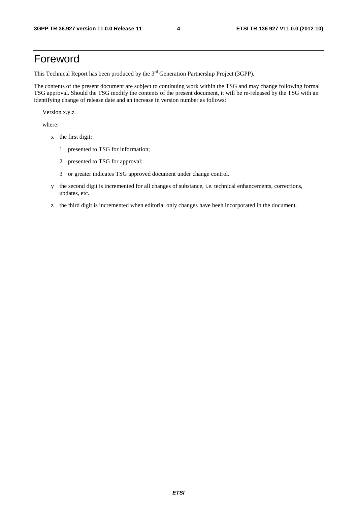## Foreword

This Technical Report has been produced by the  $3<sup>rd</sup>$  Generation Partnership Project (3GPP).

The contents of the present document are subject to continuing work within the TSG and may change following formal TSG approval. Should the TSG modify the contents of the present document, it will be re-released by the TSG with an identifying change of release date and an increase in version number as follows:

Version x.y.z

where:

- x the first digit:
	- 1 presented to TSG for information;
	- 2 presented to TSG for approval;
	- 3 or greater indicates TSG approved document under change control.
- y the second digit is incremented for all changes of substance, i.e. technical enhancements, corrections, updates, etc.
- z the third digit is incremented when editorial only changes have been incorporated in the document.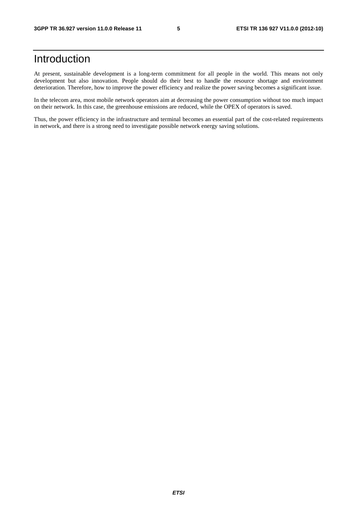## Introduction

At present, sustainable development is a long-term commitment for all people in the world. This means not only development but also innovation. People should do their best to handle the resource shortage and environment deterioration. Therefore, how to improve the power efficiency and realize the power saving becomes a significant issue.

In the telecom area, most mobile network operators aim at decreasing the power consumption without too much impact on their network. In this case, the greenhouse emissions are reduced, while the OPEX of operators is saved.

Thus, the power efficiency in the infrastructure and terminal becomes an essential part of the cost-related requirements in network, and there is a strong need to investigate possible network energy saving solutions.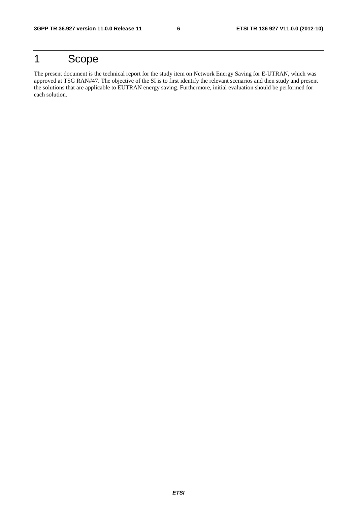## 1 Scope

The present document is the technical report for the study item on Network Energy Saving for E-UTRAN, which was approved at TSG RAN#47. The objective of the SI is to first identify the relevant scenarios and then study and present the solutions that are applicable to EUTRAN energy saving. Furthermore, initial evaluation should be performed for each solution.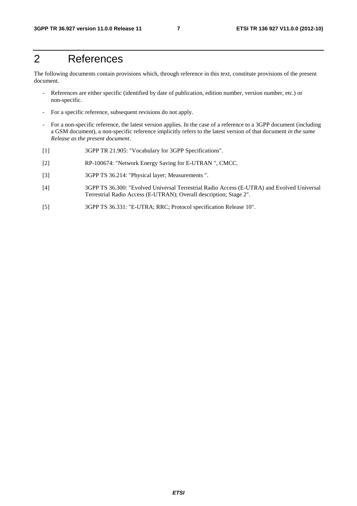## 2 References

The following documents contain provisions which, through reference in this text, constitute provisions of the present document.

- References are either specific (identified by date of publication, edition number, version number, etc.) or non-specific.
- For a specific reference, subsequent revisions do not apply.
- For a non-specific reference, the latest version applies. In the case of a reference to a 3GPP document (including a GSM document), a non-specific reference implicitly refers to the latest version of that document *in the same Release as the present document*.
- [1] 3GPP TR 21.905: "Vocabulary for 3GPP Specifications".
- [2] RP-100674: "Network Energy Saving for E-UTRAN ", CMCC.
- [3] 3GPP TS 36.214: "Physical layer; Measurements ".
- [4] 3GPP TS 36.300: "Evolved Universal Terrestrial Radio Access (E-UTRA) and Evolved Universal Terrestrial Radio Access (E-UTRAN); Overall description; Stage 2".
- [5] 3GPP TS 36.331: "E-UTRA; RRC; Protocol specification Release 10".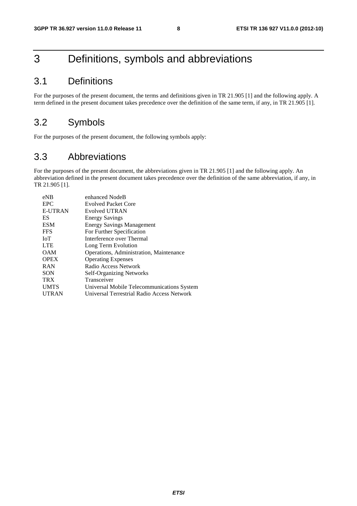## 3 Definitions, symbols and abbreviations

## 3.1 Definitions

For the purposes of the present document, the terms and definitions given in TR 21.905 [1] and the following apply. A term defined in the present document takes precedence over the definition of the same term, if any, in TR 21.905 [1].

## 3.2 Symbols

For the purposes of the present document, the following symbols apply:

## 3.3 Abbreviations

For the purposes of the present document, the abbreviations given in TR 21.905 [1] and the following apply. An abbreviation defined in the present document takes precedence over the definition of the same abbreviation, if any, in TR 21.905 [1].

| <b>EPC</b><br><b>Evolved Packet Core</b><br><b>E-UTRAN</b><br>Evolved UTRAN |
|-----------------------------------------------------------------------------|
|                                                                             |
|                                                                             |
| ES<br><b>Energy Savings</b>                                                 |
| <b>ESM</b><br><b>Energy Savings Management</b>                              |
| <b>FFS</b><br>For Further Specification                                     |
| IoT<br>Interference over Thermal                                            |
| <b>LTE</b><br>Long Term Evolution                                           |
| <b>OAM</b><br>Operations, Administration, Maintenance                       |
| <b>OPEX</b><br><b>Operating Expenses</b>                                    |
| Radio Access Network<br><b>RAN</b>                                          |
| <b>SON</b><br><b>Self-Organizing Networks</b>                               |
| <b>TRX</b><br>Transceiver                                                   |
| <b>UMTS</b><br>Universal Mobile Telecommunications System                   |
| <b>UTRAN</b><br>Universal Terrestrial Radio Access Network                  |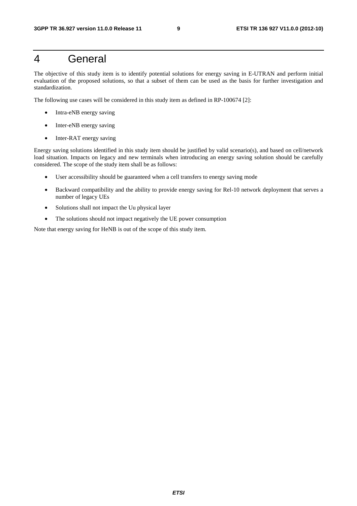## 4 General

The objective of this study item is to identify potential solutions for energy saving in E-UTRAN and perform initial evaluation of the proposed solutions, so that a subset of them can be used as the basis for further investigation and standardization.

The following use cases will be considered in this study item as defined in RP-100674 [2]:

- Intra-eNB energy saving
- Inter-eNB energy saving
- Inter-RAT energy saving

Energy saving solutions identified in this study item should be justified by valid scenario(s), and based on cell/network load situation. Impacts on legacy and new terminals when introducing an energy saving solution should be carefully considered. The scope of the study item shall be as follows:

- User accessibility should be guaranteed when a cell transfers to energy saving mode
- Backward compatibility and the ability to provide energy saving for Rel-10 network deployment that serves a number of legacy UEs
- Solutions shall not impact the Uu physical layer
- The solutions should not impact negatively the UE power consumption

Note that energy saving for HeNB is out of the scope of this study item.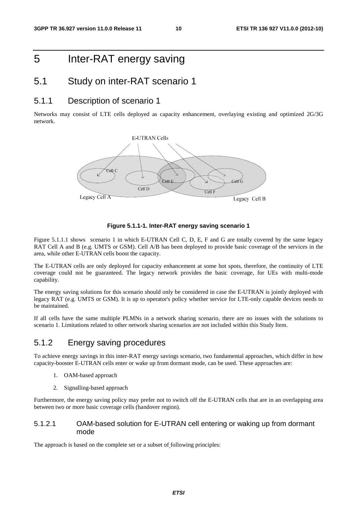## 5 Inter-RAT energy saving

### 5.1 Study on inter-RAT scenario 1

### 5.1.1 Description of scenario 1

Networks may consist of LTE cells deployed as capacity enhancement, overlaying existing and optimized 2G/3G network.



#### **Figure 5.1.1-1. Inter-RAT energy saving scenario 1**

Figure 5.1.1.1 shows scenario 1 in which E-UTRAN Cell C, D, E, F and G are totally covered by the same legacy RAT Cell A and B (e.g. UMTS or GSM). Cell A/B has been deployed to provide basic coverage of the services in the area, while other E-UTRAN cells boost the capacity.

The E-UTRAN cells are only deployed for capacity enhancement at some hot spots, therefore, the continuity of LTE coverage could not be guaranteed. The legacy network provides the basic coverage, for UEs with multi-mode capability.

The energy saving solutions for this scenario should only be considered in case the E-UTRAN is jointly deployed with legacy RAT (e.g. UMTS or GSM). It is up to operator's policy whether service for LTE-only capable devices needs to be maintained.

If all cells have the same multiple PLMNs in a network sharing scenario, there are no issues with the solutions to scenario 1. Limitations related to other network sharing scenarios are not included within this Study Item.

### 5.1.2 Energy saving procedures

To achieve energy savings in this inter-RAT energy savings scenario, two fundamental approaches, which differ in how capacity-booster E-UTRAN cells enter or wake up from dormant mode, can be used. These approaches are:

- 1. OAM-based approach
- 2. Signalling-based approach

Furthermore, the energy saving policy may prefer not to switch off the E-UTRAN cells that are in an overlapping area between two or more basic coverage cells (handover region).

#### 5.1.2.1 OAM-based solution for E-UTRAN cell entering or waking up from dormant mode

The approach is based on the complete set or a subset of following principles: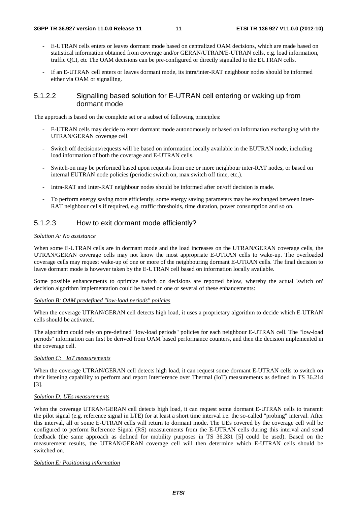- E-UTRAN cells enters or leaves dormant mode based on centralized OAM decisions, which are made based on statistical information obtained from coverage and/or GERAN/UTRAN/E-UTRAN cells, e.g. load information, traffic QCI, etc The OAM decisions can be pre-configured or directly signalled to the EUTRAN cells.
- If an E-UTRAN cell enters or leaves dormant mode, its intra/inter-RAT neighbour nodes should be informed either via OAM or signalling.

#### 5.1.2.2 Signalling based solution for E-UTRAN cell entering or waking up from dormant mode

The approach is based on the complete set or a subset of following principles:

- E-UTRAN cells may decide to enter dormant mode autonomously or based on information exchanging with the UTRAN/GERAN coverage cell.
- Switch off decisions/requests will be based on information locally available in the EUTRAN node, including load information of both the coverage and E-UTRAN cells.
- Switch-on may be performed based upon requests from one or more neighbour inter-RAT nodes, or based on internal EUTRAN node policies (periodic switch on, max switch off time, etc,).
- Intra-RAT and Inter-RAT neighbour nodes should be informed after on/off decision is made.
- To perform energy saving more efficiently, some energy saving parameters may be exchanged between inter-RAT neighbour cells if required, e.g. traffic thresholds, time duration, power consumption and so on.

#### 5.1.2.3 How to exit dormant mode efficiently?

#### *Solution A: No assistance*

When some E-UTRAN cells are in dormant mode and the load increases on the UTRAN/GERAN coverage cells, the UTRAN/GERAN coverage cells may not know the most appropriate E-UTRAN cells to wake-up. The overloaded coverage cells may request wake-up of one or more of the neighbouring dormant E-UTRAN cells. The final decision to leave dormant mode is however taken by the E-UTRAN cell based on information locally available.

Some possible enhancements to optimize switch on decisions are reported below, whereby the actual 'switch on' decision algorithm implementation could be based on one or several of these enhancements:

#### *Solution B: OAM predefined "low-load periods" policies*

When the coverage UTRAN/GERAN cell detects high load, it uses a proprietary algorithm to decide which E-UTRAN cells should be activated.

The algorithm could rely on pre-defined "low-load periods" policies for each neighbour E-UTRAN cell. The "low-load periods" information can first be derived from OAM based performance counters, and then the decision implemented in the coverage cell.

#### *Solution C: IoT measurements*

When the coverage UTRAN/GERAN cell detects high load, it can request some dormant E-UTRAN cells to switch on their listening capability to perform and report Interference over Thermal (IoT) measurements as defined in TS 36.214 [3].

#### *Solution D: UEs measurements*

When the coverage UTRAN/GERAN cell detects high load, it can request some dormant E-UTRAN cells to transmit the pilot signal (e.g. reference signal in LTE) for at least a short time interval i.e. the so-called "probing" interval. After this interval, all or some E-UTRAN cells will return to dormant mode. The UEs covered by the coverage cell will be configured to perform Reference Signal (RS) measurements from the E-UTRAN cells during this interval and send feedback (the same approach as defined for mobility purposes in TS 36.331 [5] could be used). Based on the measurement results, the UTRAN/GERAN coverage cell will then determine which E-UTRAN cells should be switched on.

#### *Solution E: Positioning information*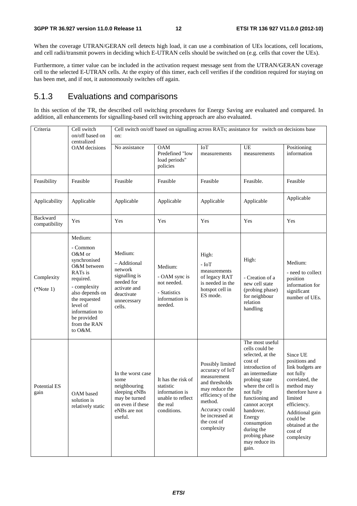When the coverage UTRAN/GERAN cell detects high load, it can use a combination of UEs locations, cell locations, and cell radii/transmit powers in deciding which E-UTRAN cells should be switched on (e.g. cells that cover the UEs).

Furthermore, a timer value can be included in the activation request message sent from the UTRAN/GERAN coverage cell to the selected E-UTRAN cells. At the expiry of this timer, each cell verifies if the condition required for staying on has been met, and if not, it autonomously switches off again.

### 5.1.3 Evaluations and comparisons

In this section of the TR, the described cell switching procedures for Energy Saving are evaluated and compared. In addition, all enhancements for signalling-based cell switching approach are also evaluated.

| Criteria                  | Cell switch<br>on/off based on<br>centralized                                                                                                                                                                                | Cell switch on/off based on signalling across RATs; assistance for switch on decisions base<br>on:                         |                                                                                                   |                                                                                                                                                                                          |                                                                                                                                                                                                                                                                                               |                                                                                                                                                                                                                      |  |
|---------------------------|------------------------------------------------------------------------------------------------------------------------------------------------------------------------------------------------------------------------------|----------------------------------------------------------------------------------------------------------------------------|---------------------------------------------------------------------------------------------------|------------------------------------------------------------------------------------------------------------------------------------------------------------------------------------------|-----------------------------------------------------------------------------------------------------------------------------------------------------------------------------------------------------------------------------------------------------------------------------------------------|----------------------------------------------------------------------------------------------------------------------------------------------------------------------------------------------------------------------|--|
|                           | OAM decisions                                                                                                                                                                                                                | No assistance                                                                                                              | <b>OAM</b><br>Predefined "low<br>load periods"<br>policies                                        | <b>IoT</b><br>measurements                                                                                                                                                               | UE<br>measurements                                                                                                                                                                                                                                                                            | Positioning<br>information                                                                                                                                                                                           |  |
| Feasibility               | Feasible                                                                                                                                                                                                                     | Feasible                                                                                                                   | Feasible                                                                                          | Feasible                                                                                                                                                                                 | Feasible.                                                                                                                                                                                                                                                                                     | Feasible                                                                                                                                                                                                             |  |
| Applicability             | Applicable                                                                                                                                                                                                                   | Applicable                                                                                                                 | Applicable                                                                                        | Applicable                                                                                                                                                                               | Applicable                                                                                                                                                                                                                                                                                    | Applicable                                                                                                                                                                                                           |  |
| Backward<br>compatibility | Yes                                                                                                                                                                                                                          | Yes                                                                                                                        | Yes                                                                                               | Yes                                                                                                                                                                                      | Yes                                                                                                                                                                                                                                                                                           | Yes                                                                                                                                                                                                                  |  |
| Complexity<br>$(*Note 1)$ | Medium:<br>- Common<br>O&M or<br>synchronised<br>O&M between<br>RAT <sub>s</sub> is<br>required.<br>- complexity<br>also depends on<br>the requested<br>level of<br>information to<br>be provided<br>from the RAN<br>to O&M. | Medium:<br>- Additional<br>network<br>signalling is<br>needed for<br>activate and<br>deactivate<br>unnecessary<br>cells.   | Medium:<br>- OAM sync is<br>not needed.<br>- Statistics<br>information is<br>needed.              | High:<br>- IoT<br>measurements<br>of legacy RAT<br>is needed in the<br>hotspot cell in<br>ES mode.                                                                                       | High:<br>- Creation of a<br>new cell state<br>(probing phase)<br>for neighbour<br>relation<br>handling                                                                                                                                                                                        | Medium:<br>- need to collect<br>position<br>information for<br>significant<br>number of UEs.                                                                                                                         |  |
| Potential ES<br>gain      | OAM based<br>solution is<br>relatively static                                                                                                                                                                                | In the worst case<br>some<br>neighbouring<br>sleeping eNBs<br>may be turned<br>on even if these<br>eNBs are not<br>useful. | It has the risk of<br>statistic<br>information is<br>unable to reflect<br>the real<br>conditions. | Possibly limited<br>accuracy of IoT<br>measurement<br>and thresholds<br>may reduce the<br>efficiency of the<br>method.<br>Accuracy could<br>be increased at<br>the cost of<br>complexity | The most useful<br>cells could be<br>selected, at the<br>cost of<br>introduction of<br>an intermediate<br>probing state<br>where the cell is<br>not fully<br>functioning and<br>cannot accept<br>handover.<br>Energy<br>consumption<br>during the<br>probing phase<br>may reduce its<br>gain. | Since UE<br>positions and<br>link budgets are<br>not fully<br>correlated, the<br>method may<br>therefore have a<br>limited<br>efficiency.<br>Additional gain<br>could be<br>obtained at the<br>cost of<br>complexity |  |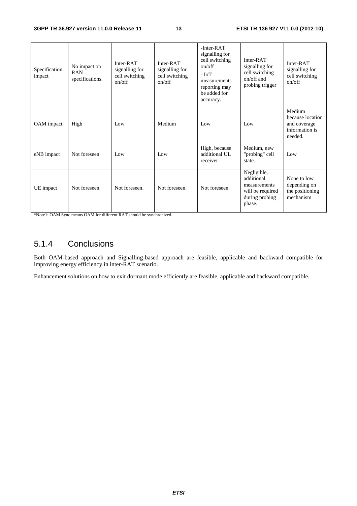| Specification<br>impact | No impact on<br><b>RAN</b><br>specifications. | Inter-RAT<br>signalling for<br>cell switching<br>on/off | Inter-RAT<br>signalling for<br>cell switching<br>on/off | $-$ Inter $-RAT$<br>signalling for<br>cell switching<br>on/off<br>- IoT<br>measurements<br>reporting may<br>be added for<br>accuracy. | Inter-RAT<br>signalling for<br>cell switching<br>on/off and<br>probing trigger            | Inter-RAT<br>signalling for<br>cell switching<br>on/off                 |
|-------------------------|-----------------------------------------------|---------------------------------------------------------|---------------------------------------------------------|---------------------------------------------------------------------------------------------------------------------------------------|-------------------------------------------------------------------------------------------|-------------------------------------------------------------------------|
| OAM impact              | High                                          | Low                                                     | Medium                                                  | Low                                                                                                                                   | Low                                                                                       | Medium<br>because location<br>and coverage<br>information is<br>needed. |
| eNB impact              | Not foreseen                                  | Low                                                     | Low                                                     | High, because<br>additional UL<br>receiver                                                                                            | Medium, new<br>"probing" cell<br>state.                                                   | Low                                                                     |
| UE impact               | Not foreseen.                                 | Not foreseen.                                           | Not foreseen.                                           | Not foreseen.                                                                                                                         | Negligible,<br>additional<br>measurements<br>will be required<br>during probing<br>phase. | None to low<br>depending on<br>the positioning<br>mechanism             |

\*Note1: OAM Sync means OAM for different RAT should be synchronized.

## 5.1.4 Conclusions

Both OAM-based approach and Signalling-based approach are feasible, applicable and backward compatible for improving energy efficiency in inter-RAT scenario.

Enhancement solutions on how to exit dormant mode efficiently are feasible, applicable and backward compatible.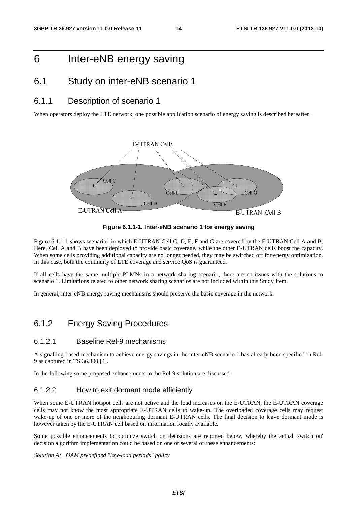## 6 Inter-eNB energy saving

### 6.1 Study on inter-eNB scenario 1

### 6.1.1 Description of scenario 1

When operators deploy the LTE network, one possible application scenario of energy saving is described hereafter.



**Figure 6.1.1-1. Inter-eNB scenario 1 for energy saving** 

Figure 6.1.1-1 shows scenario1 in which E-UTRAN Cell C, D, E, F and G are covered by the E-UTRAN Cell A and B. Here, Cell A and B have been deployed to provide basic coverage, while the other E-UTRAN cells boost the capacity. When some cells providing additional capacity are no longer needed, they may be switched off for energy optimization. In this case, both the continuity of LTE coverage and service QoS is guaranteed.

If all cells have the same multiple PLMNs in a network sharing scenario, there are no issues with the solutions to scenario 1. Limitations related to other network sharing scenarios are not included within this Study Item.

In general, inter-eNB energy saving mechanisms should preserve the basic coverage in the network.

### 6.1.2 Energy Saving Procedures

#### 6.1.2.1 Baseline Rel-9 mechanisms

A signalling-based mechanism to achieve energy savings in the inter-eNB scenario 1 has already been specified in Rel-9 as captured in TS 36.300 [4].

In the following some proposed enhancements to the Rel-9 solution are discussed.

#### 6.1.2.2 How to exit dormant mode efficiently

When some E-UTRAN hotspot cells are not active and the load increases on the E-UTRAN, the E-UTRAN coverage cells may not know the most appropriate E-UTRAN cells to wake-up. The overloaded coverage cells may request wake-up of one or more of the neighbouring dormant E-UTRAN cells. The final decision to leave dormant mode is however taken by the E-UTRAN cell based on information locally available.

Some possible enhancements to optimize switch on decisions are reported below, whereby the actual 'switch on' decision algorithm implementation could be based on one or several of these enhancements:

*Solution A: OAM predefined "low-load periods" policy*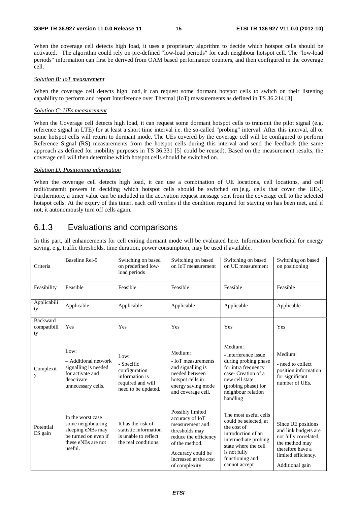#### **3GPP TR 36.927 version 11.0.0 Release 11 15 ETSI TR 136 927 V11.0.0 (2012-10)**

When the coverage cell detects high load, it uses a proprietary algorithm to decide which hotspot cells should be activated. The algorithm could rely on pre-defined "low-load periods" for each neighbour hotspot cell. The "low-load periods" information can first be derived from OAM based performance counters, and then configured in the coverage cell.

#### *Solution B: IoT measurement*

When the coverage cell detects high load, it can request some dormant hotspot cells to switch on their listening capability to perform and report Interference over Thermal (IoT) measurements as defined in TS 36.214 [3].

#### *Solution C: UEs measurement*

When the Coverage cell detects high load, it can request some dormant hotspot cells to transmit the pilot signal (e.g. reference signal in LTE) for at least a short time interval i.e. the so-called "probing" interval. After this interval, all or some hotspot cells will return to dormant mode. The UEs covered by the coverage cell will be configured to perform Reference Signal (RS) measurements from the hotspot cells during this interval and send the feedback (the same approach as defined for mobility purposes in TS 36.331 [5] could be reused). Based on the measurement results, the coverage cell will then determine which hotspot cells should be switched on.

#### *Solution D: Positioning information*

When the coverage cell detects high load, it can use a combination of UE locations, cell locations, and cell radii/transmit powers in deciding which hotspot cells should be switched on (e.g. cells that cover the UEs). Furthermore, a timer value can be included in the activation request message sent from the coverage cell to the selected hotspot cells. At the expiry of this timer, each cell verifies if the condition required for staying on has been met, and if not, it autonomously turn off cells again.

### 6.1.3 Evaluations and comparisons

In this part, all enhancements for cell exiting dormant mode will be evaluated here. Information beneficial for energy saving, e.g. traffic thresholds, time duration, power consumption, may be used if available.

| Criteria                             | <b>Baseline Rel-9</b>                                                                                                | Switching on based<br>on predefined low-<br>load periods                                          | Switching on based<br>on IoT measurement                                                                                                                                           | Switching on based<br>on UE measurement                                                                                                                                                 | Switching on based<br>on positioning                                                                                                                |
|--------------------------------------|----------------------------------------------------------------------------------------------------------------------|---------------------------------------------------------------------------------------------------|------------------------------------------------------------------------------------------------------------------------------------------------------------------------------------|-----------------------------------------------------------------------------------------------------------------------------------------------------------------------------------------|-----------------------------------------------------------------------------------------------------------------------------------------------------|
| Feasibility                          | Feasible                                                                                                             | Feasible                                                                                          | Feasible                                                                                                                                                                           | Feasible                                                                                                                                                                                | Feasible                                                                                                                                            |
| Applicabili<br>ty                    | Applicable                                                                                                           | Applicable                                                                                        | Applicable                                                                                                                                                                         | Applicable                                                                                                                                                                              | Applicable                                                                                                                                          |
| <b>Backward</b><br>compatibili<br>ty | Yes                                                                                                                  | Yes                                                                                               | Yes                                                                                                                                                                                | Yes                                                                                                                                                                                     | Yes                                                                                                                                                 |
| Complexit<br>у                       | Low:<br>- Additional network<br>signalling is needed<br>for activate and<br>deactivate<br>unnecessary cells.         | Low:<br>- Specific<br>configuration<br>information is<br>required and will<br>need to be updated. | Medium:<br>- IoT measurements<br>and signalling is<br>needed between<br>hotspot cells in<br>energy saving mode<br>and coverage cell.                                               | Medium:<br>- interference issue<br>during probing phase<br>for intra frequency<br>case- Creation of a<br>new cell state<br>(probing phase) for<br>neighbour relation<br>handling        | Medium:<br>- need to collect<br>position information<br>for significant<br>number of UEs.                                                           |
| Potential<br>ES gain                 | In the worst case<br>some neighbouring<br>sleeping eNBs may<br>be turned on even if<br>these eNBs are not<br>useful. | It has the risk of<br>statistic information<br>is unable to reflect<br>the real conditions.       | Possibly limited<br>accuracy of IoT<br>measurement and<br>thresholds may<br>reduce the efficiency<br>of the method.<br>Accuracy could be<br>increased at the cost<br>of complexity | The most useful cells<br>could be selected, at<br>the cost of<br>introduction of an<br>intermediate probing<br>state where the cell<br>is not fully<br>functioning and<br>cannot accept | Since UE positions<br>and link budgets are<br>not fully correlated,<br>the method may<br>therefore have a<br>limited efficiency.<br>Additional gain |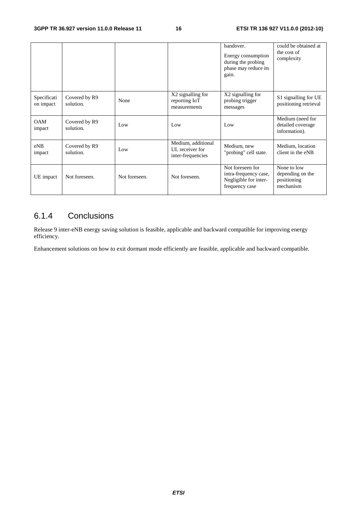|                          |                            |               |                                                            | handover.<br>Energy consumption<br>during the probing<br>phase may reduce its<br>gain. | could be obtained at<br>the cost of<br>complexity           |
|--------------------------|----------------------------|---------------|------------------------------------------------------------|----------------------------------------------------------------------------------------|-------------------------------------------------------------|
| Specificati<br>on impact | Covered by R9<br>solution. | None          | X2 signalling for<br>reporting IoT<br>measurements         | X2 signalling for<br>probing trigger<br>messages                                       | S1 signalling for UE<br>positioning retrieval               |
| <b>OAM</b><br>impact     | Covered by R9<br>solution. | Low           | Low                                                        | Low                                                                                    | Medium (need for<br>detailed coverage<br>information).      |
| eNB<br>impact            | Covered by R9<br>solution. | Low           | Medium, additional<br>UL receiver for<br>inter-frequencies | Medium, new<br>"probing" cell state.                                                   | Medium, location<br>client in the eNB                       |
| UE impact                | Not foreseen.              | Not foreseen. | Not foreseen.                                              | Not foreseen for<br>intra-frequency case,<br>Negligible for inter-<br>frequency case   | None to low<br>depending on the<br>positioning<br>mechanism |

### 6.1.4 Conclusions

Release 9 inter-eNB energy saving solution is feasible, applicable and backward compatible for improving energy efficiency.

Enhancement solutions on how to exit dormant mode efficiently are feasible, applicable and backward compatible.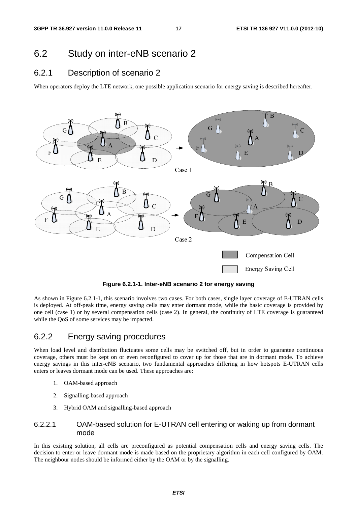### 6.2 Study on inter-eNB scenario 2

### 6.2.1 Description of scenario 2

When operators deploy the LTE network, one possible application scenario for energy saving is described hereafter.



**Figure 6.2.1-1. Inter-eNB scenario 2 for energy saving** 

As shown in Figure 6.2.1-1, this scenario involves two cases. For both cases, single layer coverage of E-UTRAN cells is deployed. At off-peak time, energy saving cells may enter dormant mode, while the basic coverage is provided by one cell (case 1) or by several compensation cells (case 2). In general, the continuity of LTE coverage is guaranteed while the QoS of some services may be impacted.

### 6.2.2 Energy saving procedures

When load level and distribution fluctuates some cells may be switched off, but in order to guarantee continuous coverage, others must be kept on or even reconfigured to cover up for those that are in dormant mode. To achieve energy savings in this inter-eNB scenario, two fundamental approaches differing in how hotspots E-UTRAN cells enters or leaves dormant mode can be used. These approaches are:

- 1. OAM-based approach
- 2. Signalling-based approach
- 3. Hybrid OAM and signalling-based approach

#### 6.2.2.1 OAM-based solution for E-UTRAN cell entering or waking up from dormant mode

In this existing solution, all cells are preconfigured as potential compensation cells and energy saving cells. The decision to enter or leave dormant mode is made based on the proprietary algorithm in each cell configured by OAM. The neighbour nodes should be informed either by the OAM or by the signalling.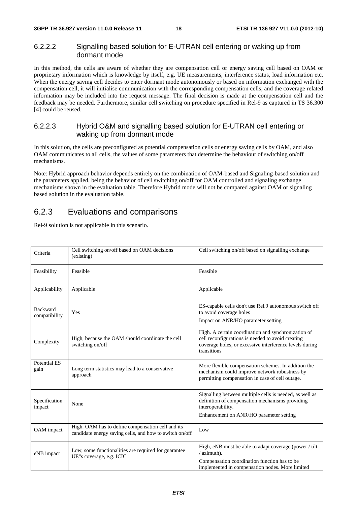### 6.2.2.2 Signalling based solution for E-UTRAN cell entering or waking up from dormant mode

In this method, the cells are aware of whether they are compensation cell or energy saving cell based on OAM or proprietary information which is knowledge by itself, e.g. UE measurements, interference status, load information etc. When the energy saving cell decides to enter dormant mode autonomously or based on information exchanged with the compensation cell, it will initialise communication with the corresponding compensation cells, and the coverage related information may be included into the request message. The final decision is made at the compensation cell and the feedback may be needed. Furthermore, similar cell switching on procedure specified in Rel-9 as captured in TS 36.300 [4] could be reused.

### 6.2.2.3 Hybrid O&M and signalling based solution for E-UTRAN cell entering or waking up from dormant mode

In this solution, the cells are preconfigured as potential compensation cells or energy saving cells by OAM, and also OAM communicates to all cells, the values of some parameters that determine the behaviour of switching on/off mechanisms.

Note: Hybrid approach behavior depends entirely on the combination of OAM-based and Signaling-based solution and the parameters applied, being the behavior of cell switching on/off for OAM controlled and signaling exchange mechanisms shown in the evaluation table. Therefore Hybrid mode will not be compared against OAM or signaling based solution in the evaluation table.

### 6.2.3 Evaluations and comparisons

Rel-9 solution is not applicable in this scenario.

| Criteria                    | Cell switching on/off based on OAM decisions<br>(existing)                                                   | Cell switching on/off based on signalling exchange                                                                                                                                 |
|-----------------------------|--------------------------------------------------------------------------------------------------------------|------------------------------------------------------------------------------------------------------------------------------------------------------------------------------------|
| Feasibility                 | Feasible                                                                                                     | Feasible                                                                                                                                                                           |
| Applicability               | Applicable                                                                                                   | Applicable                                                                                                                                                                         |
| Backward<br>compatibility   | Yes                                                                                                          | ES-capable cells don't use Rel.9 autonomous switch off<br>to avoid coverage holes<br>Impact on ANR/HO parameter setting                                                            |
| Complexity                  | High, because the OAM should coordinate the cell<br>switching on/off                                         | High. A certain coordination and synchronization of<br>cell reconfigurations is needed to avoid creating<br>coverage holes, or excessive interference levels during<br>transitions |
| <b>Potential ES</b><br>gain | Long term statistics may lead to a conservative<br>approach                                                  | More flexible compensation schemes. In addition the<br>mechanism could improve network robustness by<br>permitting compensation in case of cell outage.                            |
| Specification<br>impact     | None                                                                                                         | Signalling between multiple cells is needed, as well as<br>definition of compensation mechanisms providing<br>interoperability.                                                    |
|                             |                                                                                                              | Enhancement on ANR/HO parameter setting                                                                                                                                            |
| OAM impact                  | High. OAM has to define compensation cell and its<br>candidate energy saving cells, and how to switch on/off | Low                                                                                                                                                                                |
| eNB impact                  | Low, some functionalities are required for guarantee<br>UE"s coverage, e.g. ICIC                             | High, eNB must be able to adapt coverage (power / tilt)<br>$/$ azimuth).<br>Compensation coordination function has to be<br>implemented in compensation nodes. More limited        |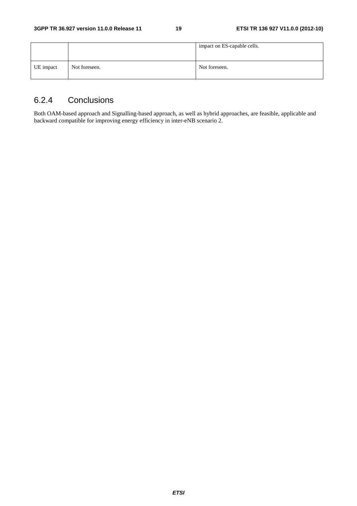|           |               | impact on ES-capable cells. |
|-----------|---------------|-----------------------------|
| UE impact | Not foreseen. | Not foreseen.               |

## 6.2.4 Conclusions

Both OAM-based approach and Signalling-based approach, as well as hybrid approaches, are feasible, applicable and backward compatible for improving energy efficiency in inter-eNB scenario 2.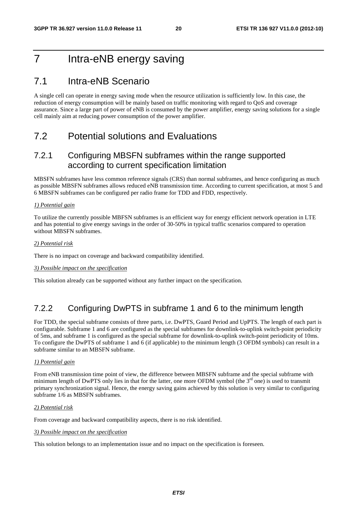## 7 Intra-eNB energy saving

## 7.1 Intra-eNB Scenario

A single cell can operate in energy saving mode when the resource utilization is sufficiently low. In this case, the reduction of energy consumption will be mainly based on traffic monitoring with regard to QoS and coverage assurance. Since a large part of power of eNB is consumed by the power amplifier, energy saving solutions for a single cell mainly aim at reducing power consumption of the power amplifier.

## 7.2 Potential solutions and Evaluations

### 7.2.1 Configuring MBSFN subframes within the range supported according to current specification limitation

MBSFN subframes have less common reference signals (CRS) than normal subframes, and hence configuring as much as possible MBSFN subframes allows reduced eNB transmission time. According to current specification, at most 5 and 6 MBSFN subframes can be configured per radio frame for TDD and FDD, respectively.

#### *1) Potential gain*

To utilize the currently possible MBFSN subframes is an efficient way for energy efficient network operation in LTE and has potential to give energy savings in the order of 30-50% in typical traffic scenarios compared to operation without MBSFN subframes.

#### *2) Potential risk*

There is no impact on coverage and backward compatibility identified.

#### *3) Possible impact on the specification*

This solution already can be supported without any further impact on the specification.

### 7.2.2 Configuring DwPTS in subframe 1 and 6 to the minimum length

For TDD, the special subframe consists of three parts, i.e. DwPTS, Guard Period and UpPTS. The length of each part is configurable. Subframe 1 and 6 are configured as the special subframes for downlink-to-uplink switch-point periodicity of 5ms, and subframe 1 is configured as the special subframe for downlink-to-uplink switch-point periodicity of 10ms. To configure the DwPTS of subframe 1 and 6 (if applicable) to the minimum length (3 OFDM symbols) can result in a subframe similar to an MBSFN subframe.

#### *1) Potential gain*

From eNB transmission time point of view, the difference between MBSFN subframe and the special subframe with minimum length of DwPTS only lies in that for the latter, one more OFDM symbol (the  $3<sup>rd</sup>$  one) is used to transmit primary synchronization signal. Hence, the energy saving gains achieved by this solution is very similar to configuring subframe 1/6 as MBSFN subframes.

#### *2) Potential risk*

From coverage and backward compatibility aspects, there is no risk identified.

#### *3) Possible impact on the specification*

This solution belongs to an implementation issue and no impact on the specification is foreseen.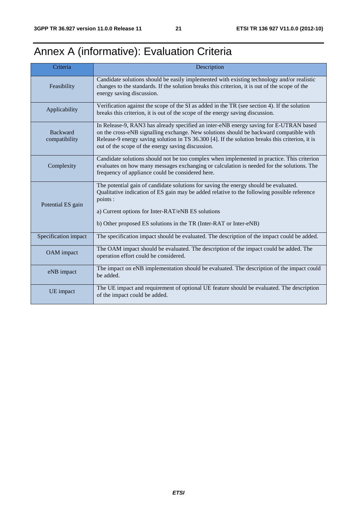## Annex A (informative): Evaluation Criteria

| Criteria                         | Description                                                                                                                                                                                                                                                                                                                             |
|----------------------------------|-----------------------------------------------------------------------------------------------------------------------------------------------------------------------------------------------------------------------------------------------------------------------------------------------------------------------------------------|
| Feasibility                      | Candidate solutions should be easily implemented with existing technology and/or realistic<br>changes to the standards. If the solution breaks this criterion, it is out of the scope of the<br>energy saving discussion.                                                                                                               |
| Applicability                    | Verification against the scope of the SI as added in the TR (see section 4). If the solution<br>breaks this criterion, it is out of the scope of the energy saving discussion.                                                                                                                                                          |
| <b>Backward</b><br>compatibility | In Release-9, RAN3 has already specified an inter-eNB energy saving for E-UTRAN based<br>on the cross-eNB signalling exchange. New solutions should be backward compatible with<br>Release-9 energy saving solution in TS 36.300 [4]. If the solution breaks this criterion, it is<br>out of the scope of the energy saving discussion. |
| Complexity                       | Candidate solutions should not be too complex when implemented in practice. This criterion<br>evaluates on how many messages exchanging or calculation is needed for the solutions. The<br>frequency of appliance could be considered here.                                                                                             |
| Potential ES gain                | The potential gain of candidate solutions for saving the energy should be evaluated.<br>Qualitative indication of ES gain may be added relative to the following possible reference<br>points :<br>a) Current options for Inter-RAT/eNB ES solutions<br>b) Other proposed ES solutions in the TR (Inter-RAT or Inter-eNB)               |
| Specification impact             | The specification impact should be evaluated. The description of the impact could be added.                                                                                                                                                                                                                                             |
| OAM impact                       | The OAM impact should be evaluated. The description of the impact could be added. The<br>operation effort could be considered.                                                                                                                                                                                                          |
| eNB impact                       | The impact on eNB implementation should be evaluated. The description of the impact could<br>be added.                                                                                                                                                                                                                                  |
| UE impact                        | The UE impact and requirement of optional UE feature should be evaluated. The description<br>of the impact could be added.                                                                                                                                                                                                              |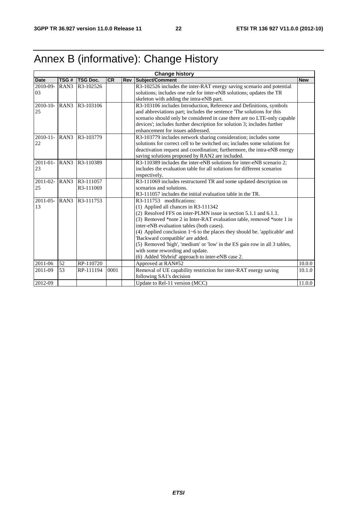## Annex B (informative): Change History

| <b>Change history</b> |                  |                 |           |     |                                                                                 |            |
|-----------------------|------------------|-----------------|-----------|-----|---------------------------------------------------------------------------------|------------|
| <b>Date</b>           | TSG#             | <b>TSG Doc.</b> | <b>CR</b> | Rev | Subject/Comment                                                                 | <b>New</b> |
| 2010-09-              | RAN <sub>3</sub> | R3-102526       |           |     | R3-102526 includes the inter-RAT energy saving scenario and potential           |            |
| 03                    |                  |                 |           |     | solutions; includes one rule for inter-eNB solutions; updates the TR            |            |
|                       |                  |                 |           |     | skeleton with adding the intra-eNB part.                                        |            |
| $2010 - 10$           | RAN <sub>3</sub> | R3-103106       |           |     | R3-103106 includes Introduction, Reference and Definitions, symbols             |            |
| 25                    |                  |                 |           |     | and abbreviations part; includes the sentence 'The solutions for this           |            |
|                       |                  |                 |           |     | scenario should only be considered in case there are no LTE-only capable        |            |
|                       |                  |                 |           |     | devices'; includes further description for solution 3; includes further         |            |
|                       |                  |                 |           |     | enhancement for issues addressed.                                               |            |
| $2010 - 11$           | RAN <sub>3</sub> | R3-103779       |           |     | R3-103779 includes network sharing consideration; includes some                 |            |
| 22                    |                  |                 |           |     | solutions for correct cell to be switched on; includes some solutions for       |            |
|                       |                  |                 |           |     | deactivation request and coordination; furthermore, the intra-eNB energy        |            |
|                       |                  |                 |           |     | saving solutions proposed by RAN2 are included.                                 |            |
| $2011 - 01 -$         | RAN <sub>3</sub> | R3-110389       |           |     | R3-110389 includes the inter-eNB solutions for inter-eNB scenario 2;            |            |
| 23                    |                  |                 |           |     | includes the evaluation table for all solutions for different scenarios         |            |
|                       |                  |                 |           |     | respectively.                                                                   |            |
| 2011-02-              | RAN3             | R3-111057       |           |     | R3-111069 includes restructured TR and some updated description on              |            |
| 25                    |                  | R3-111069       |           |     | scenarios and solutions.                                                        |            |
|                       |                  |                 |           |     | R3-111057 includes the initial evaluation table in the TR.                      |            |
| 2011-05-              | RAN <sub>3</sub> | R3-111753       |           |     | R3-111753 modifications:                                                        |            |
| 13                    |                  |                 |           |     | (1) Applied all chances in R3-111342                                            |            |
|                       |                  |                 |           |     | (2) Resolved FFS on inter-PLMN issue in section 5.1.1 and 6.1.1.                |            |
|                       |                  |                 |           |     | (3) Removed *note 2 in Inter-RAT evaluation table, removed *note 1 in           |            |
|                       |                  |                 |           |     | inter-eNB evaluation tables (both cases).                                       |            |
|                       |                  |                 |           |     | (4) Applied conclusion $1\neg 6$ to the places they should be. 'applicable' and |            |
|                       |                  |                 |           |     | 'Backward compatible' are added.                                                |            |
|                       |                  |                 |           |     | (5) Removed 'high', 'medium' or 'low' in the ES gain row in all 3 tables,       |            |
|                       |                  |                 |           |     | with some rewording and update.                                                 |            |
|                       |                  |                 |           |     | (6) Added 'Hybrid' approach to inter-eNB case 2.                                |            |
| 2011-06               | 52               | RP-110720       |           |     | Approved at RAN#52                                                              | 10.0.0     |
| 2011-09               | 53               | RP-111194       | 0001      |     | Removal of UE capability restriction for inter-RAT energy saving                | 10.1.0     |
|                       |                  |                 |           |     | following SA1's decision                                                        |            |
| 2012-09               |                  |                 |           |     | Update to Rel-11 version (MCC)                                                  | 11.0.0     |